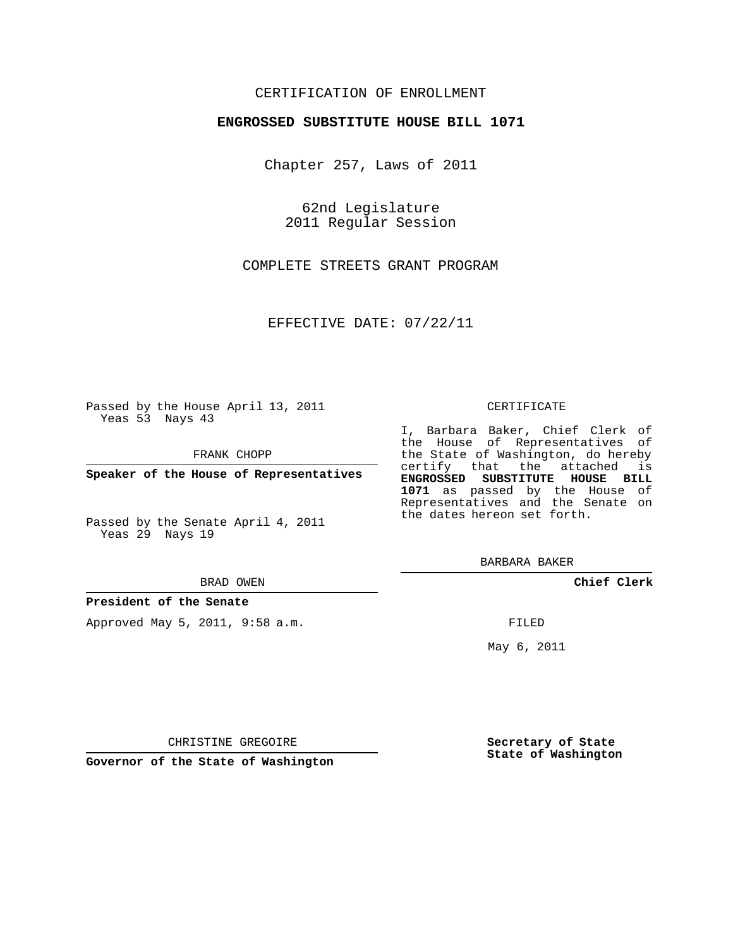# CERTIFICATION OF ENROLLMENT

### **ENGROSSED SUBSTITUTE HOUSE BILL 1071**

Chapter 257, Laws of 2011

62nd Legislature 2011 Regular Session

COMPLETE STREETS GRANT PROGRAM

EFFECTIVE DATE: 07/22/11

Passed by the House April 13, 2011 Yeas 53 Nays 43

FRANK CHOPP

**Speaker of the House of Representatives**

Passed by the Senate April 4, 2011 Yeas 29 Nays 19

#### BRAD OWEN

#### **President of the Senate**

Approved May 5, 2011, 9:58 a.m.

#### CERTIFICATE

I, Barbara Baker, Chief Clerk of the House of Representatives of the State of Washington, do hereby certify that the attached is **ENGROSSED SUBSTITUTE HOUSE BILL 1071** as passed by the House of Representatives and the Senate on the dates hereon set forth.

BARBARA BAKER

**Chief Clerk**

FILED

May 6, 2011

**Secretary of State State of Washington**

CHRISTINE GREGOIRE

**Governor of the State of Washington**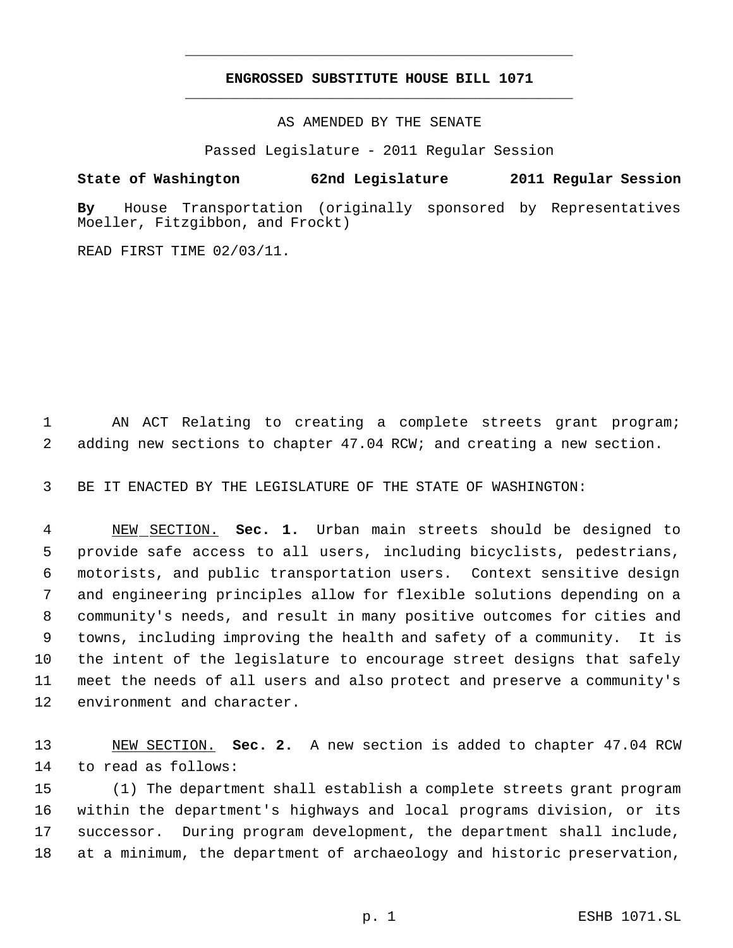# **ENGROSSED SUBSTITUTE HOUSE BILL 1071** \_\_\_\_\_\_\_\_\_\_\_\_\_\_\_\_\_\_\_\_\_\_\_\_\_\_\_\_\_\_\_\_\_\_\_\_\_\_\_\_\_\_\_\_\_

\_\_\_\_\_\_\_\_\_\_\_\_\_\_\_\_\_\_\_\_\_\_\_\_\_\_\_\_\_\_\_\_\_\_\_\_\_\_\_\_\_\_\_\_\_

AS AMENDED BY THE SENATE

Passed Legislature - 2011 Regular Session

# **State of Washington 62nd Legislature 2011 Regular Session**

**By** House Transportation (originally sponsored by Representatives Moeller, Fitzgibbon, and Frockt)

READ FIRST TIME 02/03/11.

 AN ACT Relating to creating a complete streets grant program; adding new sections to chapter 47.04 RCW; and creating a new section.

BE IT ENACTED BY THE LEGISLATURE OF THE STATE OF WASHINGTON:

 NEW SECTION. **Sec. 1.** Urban main streets should be designed to provide safe access to all users, including bicyclists, pedestrians, motorists, and public transportation users. Context sensitive design and engineering principles allow for flexible solutions depending on a community's needs, and result in many positive outcomes for cities and towns, including improving the health and safety of a community. It is the intent of the legislature to encourage street designs that safely meet the needs of all users and also protect and preserve a community's environment and character.

 NEW SECTION. **Sec. 2.** A new section is added to chapter 47.04 RCW to read as follows:

 (1) The department shall establish a complete streets grant program within the department's highways and local programs division, or its successor. During program development, the department shall include, at a minimum, the department of archaeology and historic preservation,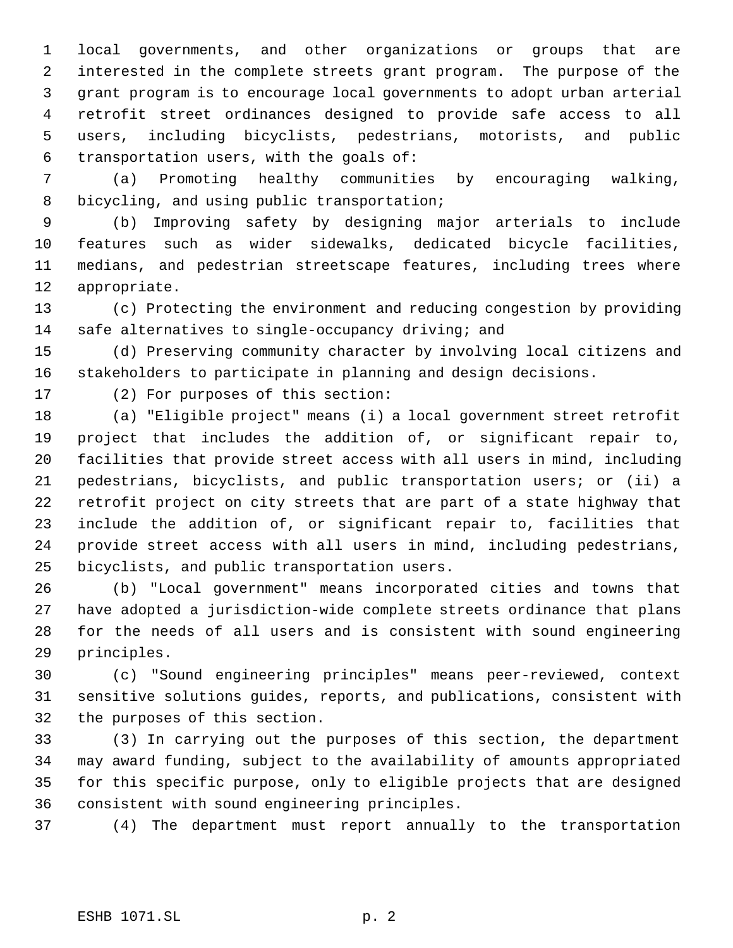local governments, and other organizations or groups that are interested in the complete streets grant program. The purpose of the grant program is to encourage local governments to adopt urban arterial retrofit street ordinances designed to provide safe access to all users, including bicyclists, pedestrians, motorists, and public transportation users, with the goals of:

 (a) Promoting healthy communities by encouraging walking, bicycling, and using public transportation;

 (b) Improving safety by designing major arterials to include features such as wider sidewalks, dedicated bicycle facilities, medians, and pedestrian streetscape features, including trees where appropriate.

 (c) Protecting the environment and reducing congestion by providing safe alternatives to single-occupancy driving; and

 (d) Preserving community character by involving local citizens and stakeholders to participate in planning and design decisions.

(2) For purposes of this section:

 (a) "Eligible project" means (i) a local government street retrofit project that includes the addition of, or significant repair to, facilities that provide street access with all users in mind, including pedestrians, bicyclists, and public transportation users; or (ii) a retrofit project on city streets that are part of a state highway that include the addition of, or significant repair to, facilities that provide street access with all users in mind, including pedestrians, bicyclists, and public transportation users.

 (b) "Local government" means incorporated cities and towns that have adopted a jurisdiction-wide complete streets ordinance that plans for the needs of all users and is consistent with sound engineering principles.

 (c) "Sound engineering principles" means peer-reviewed, context sensitive solutions guides, reports, and publications, consistent with the purposes of this section.

 (3) In carrying out the purposes of this section, the department may award funding, subject to the availability of amounts appropriated for this specific purpose, only to eligible projects that are designed consistent with sound engineering principles.

(4) The department must report annually to the transportation